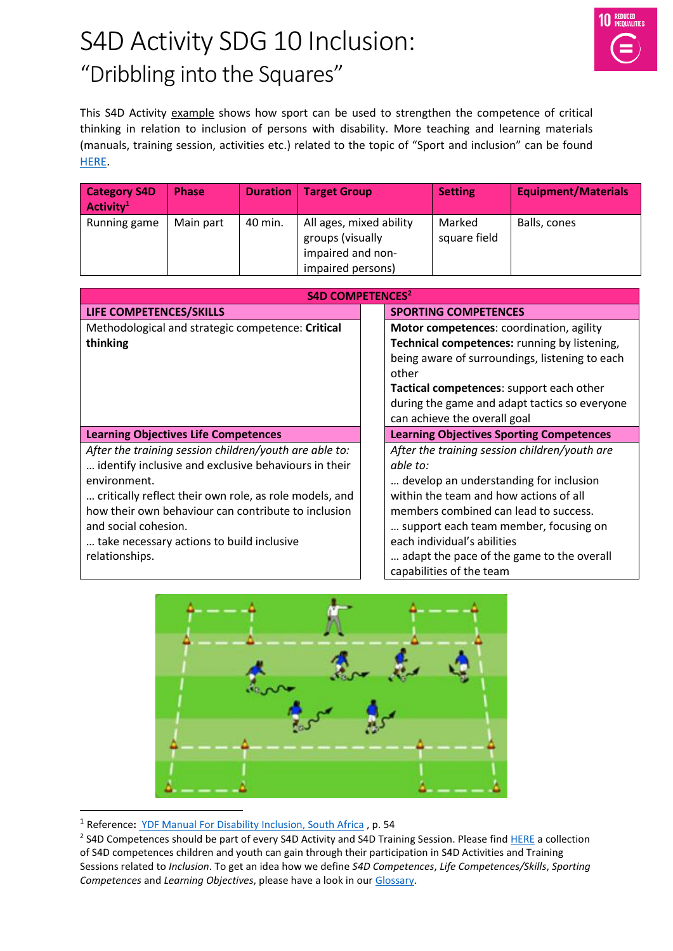## S4D Activity SDG 10 Inclusion: "Dribbling into the Squares"



This S4D Activity example shows how sport can be used to strengthen the competence of critical thinking in relation to inclusion of persons with disability. More teaching and learning materials (manuals, training session, activities etc.) related to the topic of "Sport and inclusion" can be found [HERE.](https://www.sport-for-development.com/topic-collection?id=19#cat19)

| <b>Category S4D</b><br>Activity $1$ | <b>Phase</b> | <b>Duration</b> | <b>Target Group</b>                                                                   | <b>Setting</b>         | <b>Equipment/Materials</b> |
|-------------------------------------|--------------|-----------------|---------------------------------------------------------------------------------------|------------------------|----------------------------|
| Running game                        | Main part    | 40 min.         | All ages, mixed ability<br>groups (visually<br>impaired and non-<br>impaired persons) | Marked<br>square field | Balls, cones               |

| <b>S4D COMPETENCES<sup>2</sup></b>                     |                                                 |  |  |  |
|--------------------------------------------------------|-------------------------------------------------|--|--|--|
| LIFE COMPETENCES/SKILLS                                | <b>SPORTING COMPETENCES</b>                     |  |  |  |
| Methodological and strategic competence: Critical      | Motor competences: coordination, agility        |  |  |  |
| thinking                                               | Technical competences: running by listening,    |  |  |  |
|                                                        | being aware of surroundings, listening to each  |  |  |  |
|                                                        | other                                           |  |  |  |
|                                                        | Tactical competences: support each other        |  |  |  |
|                                                        | during the game and adapt tactics so everyone   |  |  |  |
|                                                        | can achieve the overall goal                    |  |  |  |
| <b>Learning Objectives Life Competences</b>            | <b>Learning Objectives Sporting Competences</b> |  |  |  |
| After the training session children/youth are able to: | After the training session children/youth are   |  |  |  |
| identify inclusive and exclusive behaviours in their   | able to:                                        |  |  |  |
| environment.                                           | develop an understanding for inclusion          |  |  |  |
| critically reflect their own role, as role models, and | within the team and how actions of all          |  |  |  |
| how their own behaviour can contribute to inclusion    | members combined can lead to success.           |  |  |  |
| and social cohesion.                                   | support each team member, focusing on           |  |  |  |
| take necessary actions to build inclusive              | each individual's abilities                     |  |  |  |
| relationships.                                         | adapt the pace of the game to the overall       |  |  |  |
|                                                        | capabilities of the team                        |  |  |  |



<sup>1</sup> Reference**:** [YDF Manual For Disability Inclusion, South Africa](https://www.sport-for-development.com/imglib/downloads/giz2011-en-ydf-manual-for-disability-inclusion.pdf) , p. 54

 $\overline{a}$ 

<sup>&</sup>lt;sup>2</sup> S4D Competences should be part of every S4D Activity and S4D Training Session. Please fin[d HERE](https://www.sport-for-development.com/imglib/downloads/Kompetenzen%20&%20IIFs/Competences%20Children%20&%20Youth%20FRENCH/ENGLISH/giz-dshs2022-en-sdg10-competences-children-and-youth-social-cohesion-and-inclusion.pdf) a collection of S4D competences children and youth can gain through their participation in S4D Activities and Training Sessions related to *Inclusion*. To get an idea how we define *S4D Competences*, *Life Competences/Skills*, *Sporting Competences* and *Learning Objectives*, please have a look in our [Glossary.](https://www.sport-for-development.com/imglib/downloads/Guidelines/giz-dshs2020-en-s4d-toolkit-glossary.pdf)